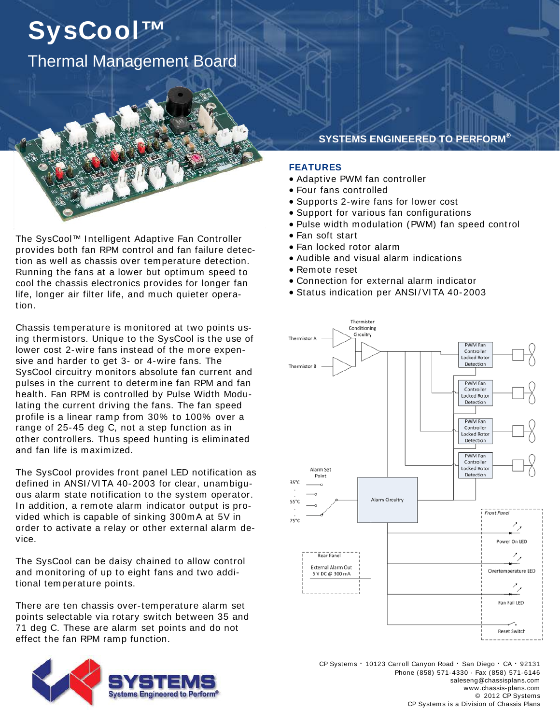## **SysCool™**  Thermal Management Board

The SysCool™ I ntelligent Adaptive Fan Controller provides both fan RPM control and fan failure detection as well as chassis over temperature detection. Running the fans at a lower but optim um speed to cool the chassis electronics provides for longer fan life, longer air filter life, and much quieter operation.

Chassis tem perature is m onitored at two points using therm istors. Unique to the SysCool is the use of lower cost 2-wire fans instead of the more expensive and harder to get 3- or 4-wire fans. The SysCool circuitry m onitors absolute fan current and pulses in the current to determ ine fan RPM and fan health. Fan RPM is controlled by Pulse Width Modulating the current driving the fans. The fan speed profile is a linear ramp from 30% to 100% over a range of 25-45 deg C, not a step function as in other controllers. Thus speed hunting is eliminated and fan life is maxim ized.

The SysCool provides front panel LED notification as defined in ANSI/VITA 40-2003 for clear, unambiguous alarm state notification to the system operator. In addition, a remote alarm indicator output is provided which is capable of sinking 300m A at 5V in order to activate a relay or other external alarm device.

The SysCool can be daisy chained to allow control and monitoring of up to eight fans and two additional tem perature points.

There are ten chassis over-temperature alarm set points selectable via rotary switch between 35 and 71 deg C. These are alarm set points and do not effect the fan RPM ramp function.



## **SYSTEMS ENGINEERED TO PERFORM®**

## **FEATURES**

- Adaptive PWM fan controller
- Four fans controlled
- Supports 2-wire fans for lower cost
- Support for various fan configurations
- Pulse width m odulation (PWM) fan speed control
- Fan soft start
- Fan locked rotor alarm
- Audible and visual alarm indications
- Rem ote reset
- Connection for external alarm indicator
- Status indication per ANSI/VITA 40-2003



CP Systems · 10123 Carroll Canyon Road · San Diego · CA · 92131 Phone (858) 571-4330 · Fax (858) 571-6146 saleseng@chassisplans.com www.chassis-plans.com © 2012 CP Systems CP Systems is a Division of Chassis Plans